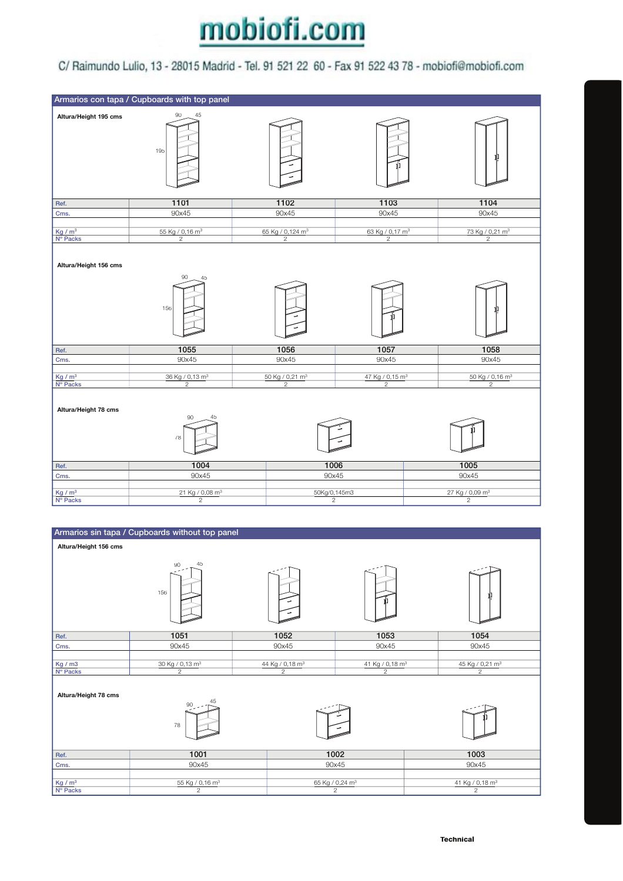## mobiofi.com

## C/ Raimundo Lulio, 13 - 28015 Madrid - Tel. 91 521 22 60 - Fax 91 522 43 78 - mobiofi@mobiofi.com



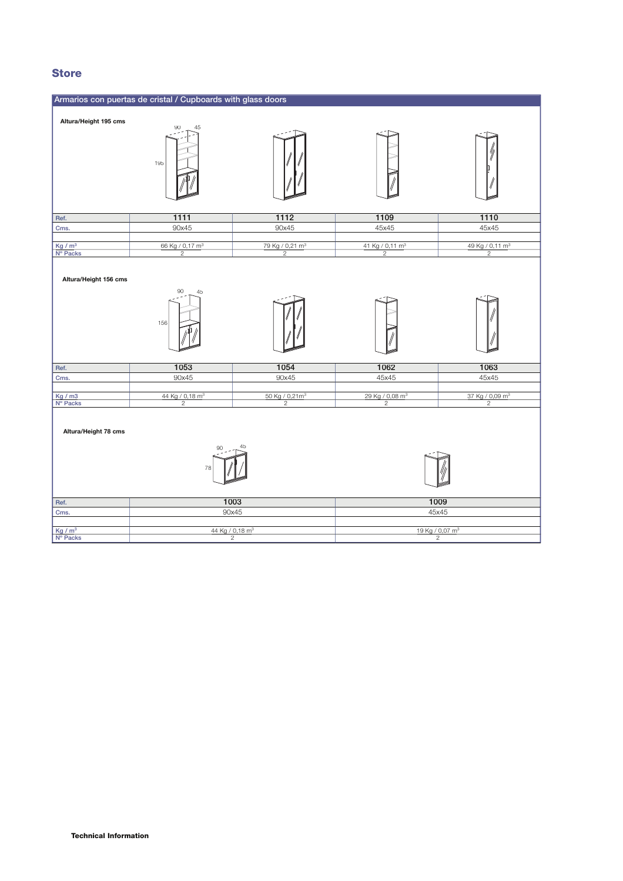## **Store**

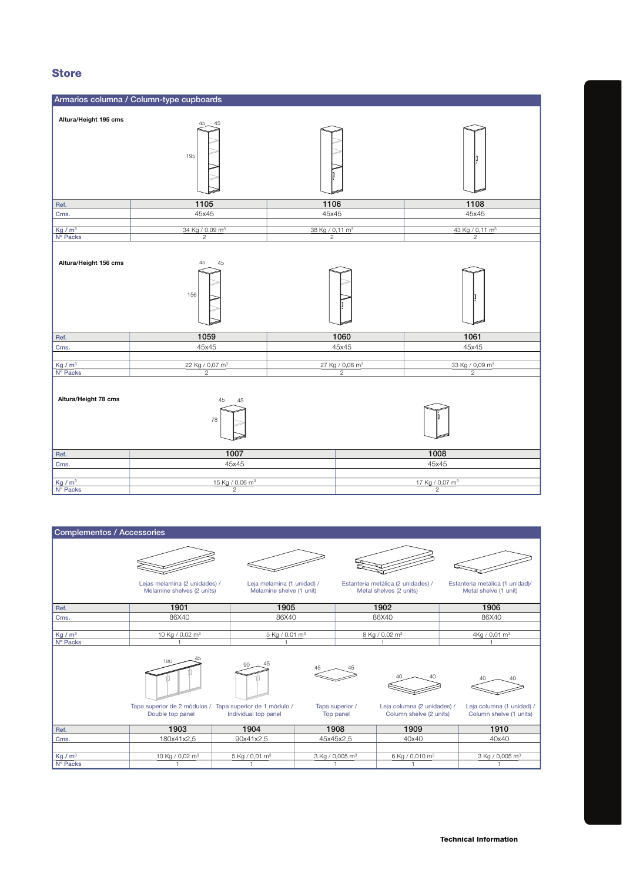## **Store**